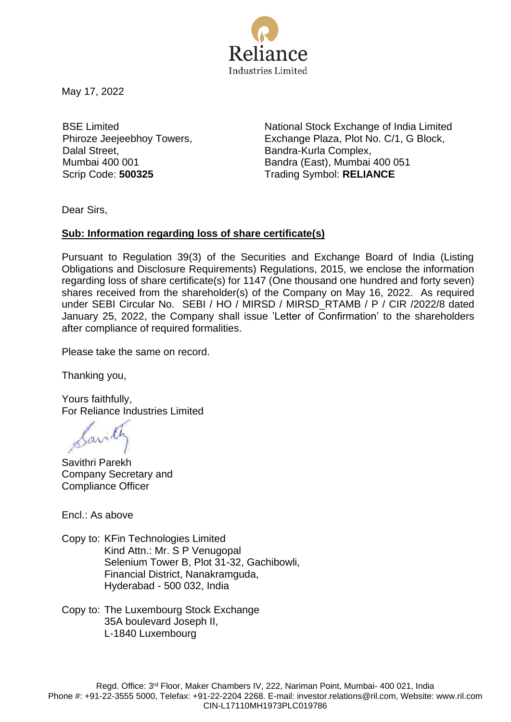

May 17, 2022

BSE Limited Phiroze Jeejeebhoy Towers, Dalal Street, Mumbai 400 001

National Stock Exchange of India Limited Exchange Plaza, Plot No. C/1, G Block, Bandra-Kurla Complex, Bandra (East), Mumbai 400 051 Scrip Code: **500325** Trading Symbol: **RELIANCE**

Dear Sirs,

## **Sub: Information regarding loss of share certificate(s)**

Pursuant to Regulation 39(3) of the Securities and Exchange Board of India (Listing Obligations and Disclosure Requirements) Regulations, 2015, we enclose the information regarding loss of share certificate(s) for 1147 (One thousand one hundred and forty seven) shares received from the shareholder(s) of the Company on May 16, 2022. As required under SEBI Circular No. SEBI / HO / MIRSD / MIRSD\_RTAMB / P / CIR /2022/8 dated January 25, 2022, the Company shall issue 'Letter of Confirmation' to the shareholders after compliance of required formalities.

Please take the same on record.

Thanking you,

Yours faithfully, For Reliance Industries Limited

Sant

Savithri Parekh Company Secretary and Compliance Officer

Encl.: As above

Copy to: KFin Technologies Limited Kind Attn.: Mr. S P Venugopal Selenium Tower B, Plot 31-32, Gachibowli, Financial District, Nanakramguda, Hyderabad - 500 032, India

Copy to: The Luxembourg Stock Exchange 35A boulevard Joseph II, L-1840 Luxembourg